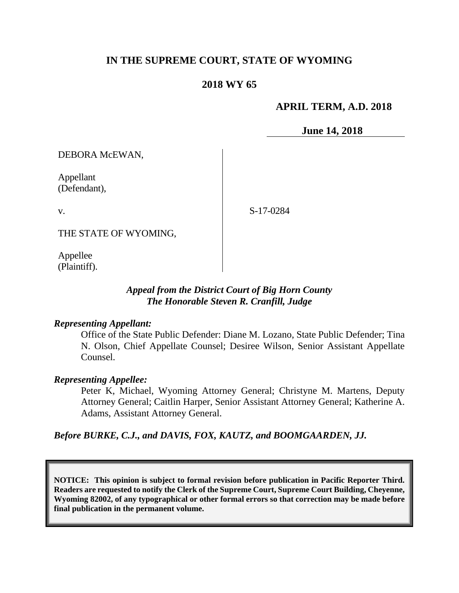# **IN THE SUPREME COURT, STATE OF WYOMING**

# **2018 WY 65**

# **APRIL TERM, A.D. 2018**

**June 14, 2018**

DEBORA McEWAN,

Appellant (Defendant),

v.

S-17-0284

THE STATE OF WYOMING,

Appellee (Plaintiff).

# *Appeal from the District Court of Big Horn County The Honorable Steven R. Cranfill, Judge*

### *Representing Appellant:*

Office of the State Public Defender: Diane M. Lozano, State Public Defender; Tina N. Olson, Chief Appellate Counsel; Desiree Wilson, Senior Assistant Appellate Counsel.

### *Representing Appellee:*

Peter K, Michael, Wyoming Attorney General; Christyne M. Martens, Deputy Attorney General; Caitlin Harper, Senior Assistant Attorney General; Katherine A. Adams, Assistant Attorney General.

# *Before BURKE, C.J., and DAVIS, FOX, KAUTZ, and BOOMGAARDEN, JJ.*

**NOTICE: This opinion is subject to formal revision before publication in Pacific Reporter Third. Readers are requested to notify the Clerk of the Supreme Court, Supreme Court Building, Cheyenne, Wyoming 82002, of any typographical or other formal errors so that correction may be made before final publication in the permanent volume.**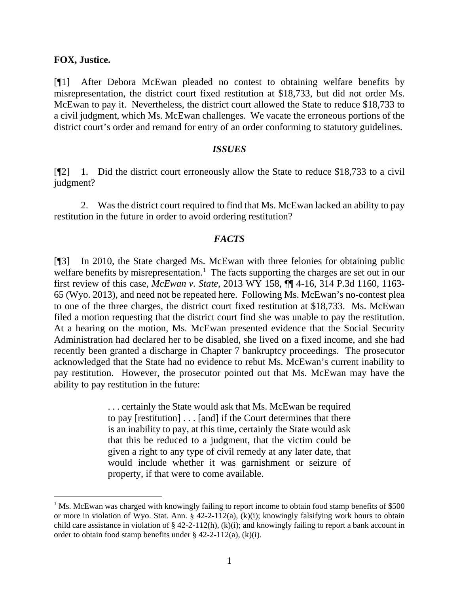#### **FOX, Justice.**

[¶1] After Debora McEwan pleaded no contest to obtaining welfare benefits by misrepresentation, the district court fixed restitution at \$18,733, but did not order Ms. McEwan to pay it. Nevertheless, the district court allowed the State to reduce \$18,733 to a civil judgment, which Ms. McEwan challenges. We vacate the erroneous portions of the district court's order and remand for entry of an order conforming to statutory guidelines.

#### *ISSUES*

[¶2] 1. Did the district court erroneously allow the State to reduce \$18,733 to a civil judgment?

2. Was the district court required to find that Ms. McEwan lacked an ability to pay restitution in the future in order to avoid ordering restitution?

### *FACTS*

[¶3] In 2010, the State charged Ms. McEwan with three felonies for obtaining public welfare benefits by misrepresentation.<sup>[1](#page-1-0)</sup> The facts supporting the charges are set out in our first review of this case, *McEwan v. State*, 2013 WY 158, ¶¶ 4-16, 314 P.3d 1160, 1163- 65 (Wyo. 2013), and need not be repeated here. Following Ms. McEwan's no-contest plea to one of the three charges, the district court fixed restitution at \$18,733. Ms. McEwan filed a motion requesting that the district court find she was unable to pay the restitution. At a hearing on the motion, Ms. McEwan presented evidence that the Social Security Administration had declared her to be disabled, she lived on a fixed income, and she had recently been granted a discharge in Chapter 7 bankruptcy proceedings. The prosecutor acknowledged that the State had no evidence to rebut Ms. McEwan's current inability to pay restitution. However, the prosecutor pointed out that Ms. McEwan may have the ability to pay restitution in the future:

> . . . certainly the State would ask that Ms. McEwan be required to pay [restitution] . . . [and] if the Court determines that there is an inability to pay, at this time, certainly the State would ask that this be reduced to a judgment, that the victim could be given a right to any type of civil remedy at any later date, that would include whether it was garnishment or seizure of property, if that were to come available.

<span id="page-1-0"></span> $1$  Ms. McEwan was charged with knowingly failing to report income to obtain food stamp benefits of \$500 or more in violation of Wyo. Stat. Ann. § 42-2-112(a), (k)(i); knowingly falsifying work hours to obtain child care assistance in violation of  $\S$  42-2-112(h), (k)(i); and knowingly failing to report a bank account in order to obtain food stamp benefits under § 42-2-112(a), (k)(i).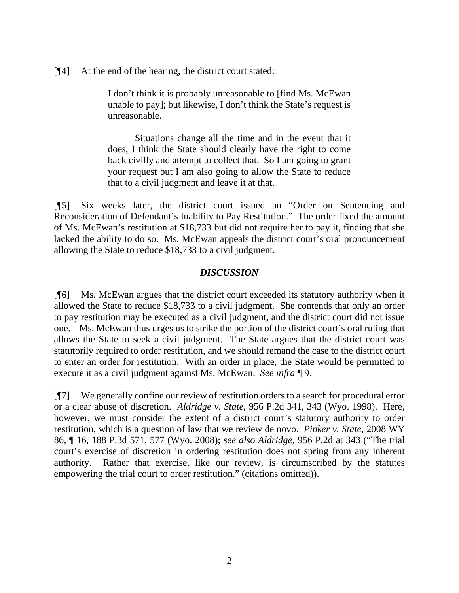[¶4] At the end of the hearing, the district court stated:

I don't think it is probably unreasonable to [find Ms. McEwan unable to pay]; but likewise, I don't think the State's request is unreasonable.

Situations change all the time and in the event that it does, I think the State should clearly have the right to come back civilly and attempt to collect that. So I am going to grant your request but I am also going to allow the State to reduce that to a civil judgment and leave it at that.

[¶5] Six weeks later, the district court issued an "Order on Sentencing and Reconsideration of Defendant's Inability to Pay Restitution." The order fixed the amount of Ms. McEwan's restitution at \$18,733 but did not require her to pay it, finding that she lacked the ability to do so. Ms. McEwan appeals the district court's oral pronouncement allowing the State to reduce \$18,733 to a civil judgment.

### *DISCUSSION*

[¶6] Ms. McEwan argues that the district court exceeded its statutory authority when it allowed the State to reduce \$18,733 to a civil judgment. She contends that only an order to pay restitution may be executed as a civil judgment, and the district court did not issue one. Ms. McEwan thus urges us to strike the portion of the district court's oral ruling that allows the State to seek a civil judgment. The State argues that the district court was statutorily required to order restitution, and we should remand the case to the district court to enter an order for restitution. With an order in place, the State would be permitted to execute it as a civil judgment against Ms. McEwan. *See infra* ¶ 9.

[¶7] We generally confine our review of restitution orders to a search for procedural error or a clear abuse of discretion. *Aldridge v. State*, 956 P.2d 341, 343 (Wyo. 1998). Here, however, we must consider the extent of a district court's statutory authority to order restitution, which is a question of law that we review de novo. *Pinker v. State*, 2008 WY 86, ¶ 16, 188 P.3d 571, 577 (Wyo. 2008); *see also Aldridge*, 956 P.2d at 343 ("The trial court's exercise of discretion in ordering restitution does not spring from any inherent authority. Rather that exercise, like our review, is circumscribed by the statutes empowering the trial court to order restitution." (citations omitted)).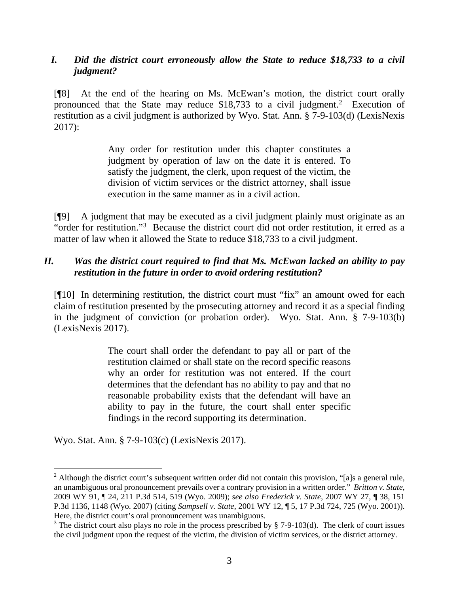# *I. Did the district court erroneously allow the State to reduce \$18,733 to a civil judgment?*

[¶8] At the end of the hearing on Ms. McEwan's motion, the district court orally pronounced that the State may reduce  $$18,733$  to a civil judgment.<sup>[2](#page-3-0)</sup> Execution of restitution as a civil judgment is authorized by Wyo. Stat. Ann. § 7-9-103(d) (LexisNexis 2017):

> Any order for restitution under this chapter constitutes a judgment by operation of law on the date it is entered. To satisfy the judgment, the clerk, upon request of the victim, the division of victim services or the district attorney, shall issue execution in the same manner as in a civil action.

[¶9] A judgment that may be executed as a civil judgment plainly must originate as an "order for restitution."<sup>[3](#page-3-1)</sup> Because the district court did not order restitution, it erred as a matter of law when it allowed the State to reduce \$18,733 to a civil judgment.

# *II. Was the district court required to find that Ms. McEwan lacked an ability to pay restitution in the future in order to avoid ordering restitution?*

[¶10] In determining restitution, the district court must "fix" an amount owed for each claim of restitution presented by the prosecuting attorney and record it as a special finding in the judgment of conviction (or probation order). Wyo. Stat. Ann. § 7-9-103(b) (LexisNexis 2017).

> The court shall order the defendant to pay all or part of the restitution claimed or shall state on the record specific reasons why an order for restitution was not entered. If the court determines that the defendant has no ability to pay and that no reasonable probability exists that the defendant will have an ability to pay in the future, the court shall enter specific findings in the record supporting its determination.

Wyo. Stat. Ann. § 7-9-103(c) (LexisNexis 2017).

<span id="page-3-0"></span> $2$  Although the district court's subsequent written order did not contain this provision, "[a]s a general rule, an unambiguous oral pronouncement prevails over a contrary provision in a written order." *Britton v. State*, 2009 WY 91, ¶ 24, 211 P.3d 514, 519 (Wyo. 2009); *see also Frederick v. State*, 2007 WY 27, ¶ 38, 151 P.3d 1136, 1148 (Wyo. 2007) (citing *Sampsell v. State*, 2001 WY 12, ¶ 5, 17 P.3d 724, 725 (Wyo. 2001)). Here, the district court's oral pronouncement was unambiguous.

<span id="page-3-1"></span><sup>&</sup>lt;sup>3</sup> The district court also plays no role in the process prescribed by § 7-9-103(d). The clerk of court issues the civil judgment upon the request of the victim, the division of victim services, or the district attorney.